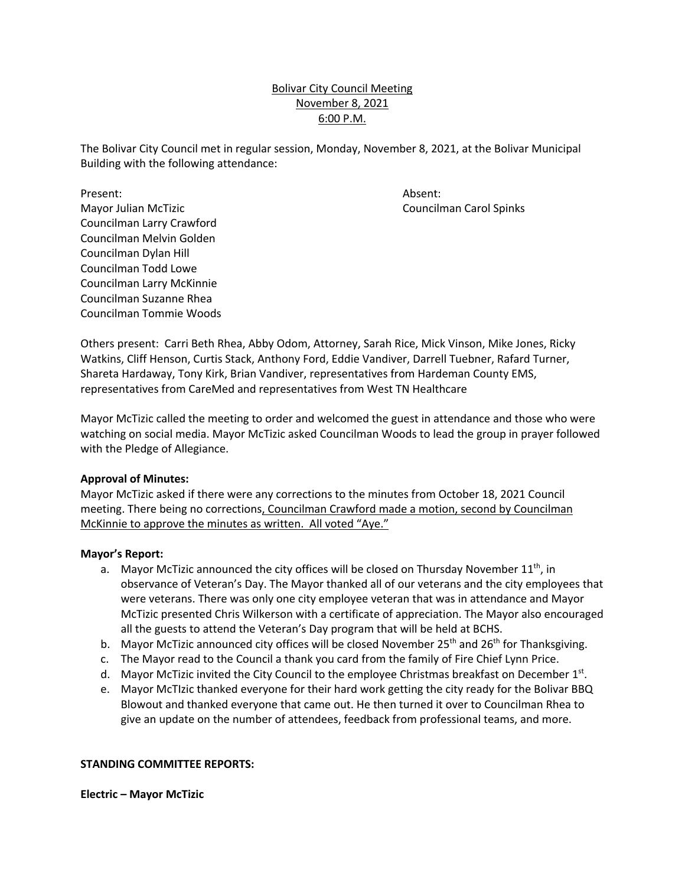# Bolivar City Council Meeting November 8, 2021 6:00 P.M.

The Bolivar City Council met in regular session, Monday, November 8, 2021, at the Bolivar Municipal Building with the following attendance:

Present: Absent: Mayor Julian McTizic Councilman Carol Spinks Councilman Larry Crawford Councilman Melvin Golden Councilman Dylan Hill Councilman Todd Lowe Councilman Larry McKinnie Councilman Suzanne Rhea Councilman Tommie Woods

Others present: Carri Beth Rhea, Abby Odom, Attorney, Sarah Rice, Mick Vinson, Mike Jones, Ricky Watkins, Cliff Henson, Curtis Stack, Anthony Ford, Eddie Vandiver, Darrell Tuebner, Rafard Turner, Shareta Hardaway, Tony Kirk, Brian Vandiver, representatives from Hardeman County EMS, representatives from CareMed and representatives from West TN Healthcare

Mayor McTizic called the meeting to order and welcomed the guest in attendance and those who were watching on social media. Mayor McTizic asked Councilman Woods to lead the group in prayer followed with the Pledge of Allegiance.

### **Approval of Minutes:**

Mayor McTizic asked if there were any corrections to the minutes from October 18, 2021 Council meeting. There being no corrections, Councilman Crawford made a motion, second by Councilman McKinnie to approve the minutes as written. All voted "Aye."

#### **Mayor's Report:**

- a. Mayor McTizic announced the city offices will be closed on Thursday November  $11<sup>th</sup>$ , in observance of Veteran's Day. The Mayor thanked all of our veterans and the city employees that were veterans. There was only one city employee veteran that was in attendance and Mayor McTizic presented Chris Wilkerson with a certificate of appreciation. The Mayor also encouraged all the guests to attend the Veteran's Day program that will be held at BCHS.
- b. Mayor McTizic announced city offices will be closed November 25<sup>th</sup> and 26<sup>th</sup> for Thanksgiving.
- c. The Mayor read to the Council a thank you card from the family of Fire Chief Lynn Price.
- d. Mayor McTizic invited the City Council to the employee Christmas breakfast on December  $1<sup>st</sup>$ .
- e. Mayor McTIzic thanked everyone for their hard work getting the city ready for the Bolivar BBQ Blowout and thanked everyone that came out. He then turned it over to Councilman Rhea to give an update on the number of attendees, feedback from professional teams, and more.

### **STANDING COMMITTEE REPORTS:**

**Electric – Mayor McTizic**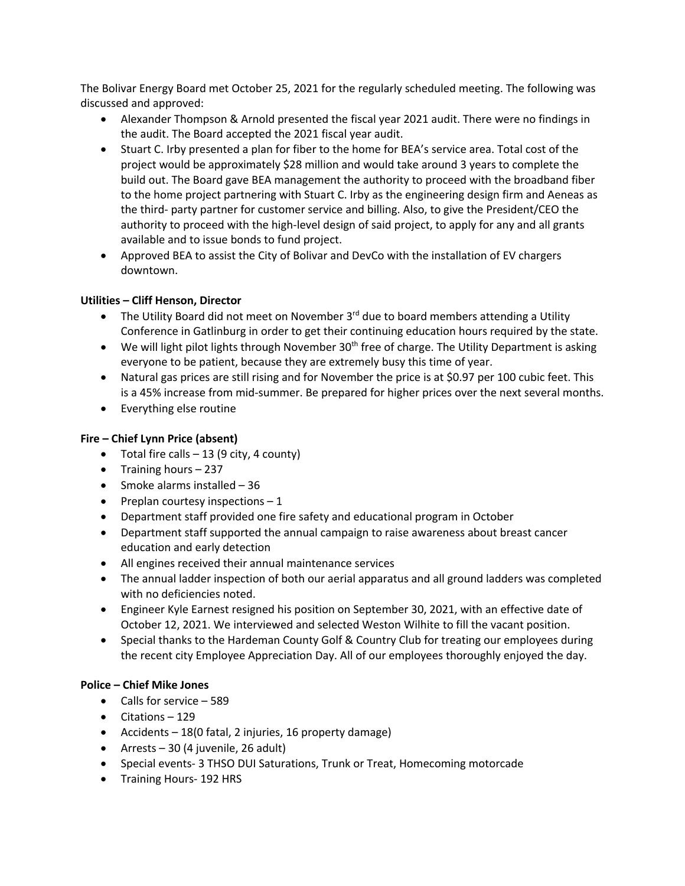The Bolivar Energy Board met October 25, 2021 for the regularly scheduled meeting. The following was discussed and approved:

- Alexander Thompson & Arnold presented the fiscal year 2021 audit. There were no findings in the audit. The Board accepted the 2021 fiscal year audit.
- Stuart C. Irby presented a plan for fiber to the home for BEA's service area. Total cost of the project would be approximately \$28 million and would take around 3 years to complete the build out. The Board gave BEA management the authority to proceed with the broadband fiber to the home project partnering with Stuart C. Irby as the engineering design firm and Aeneas as the third- party partner for customer service and billing. Also, to give the President/CEO the authority to proceed with the high-level design of said project, to apply for any and all grants available and to issue bonds to fund project.
- Approved BEA to assist the City of Bolivar and DevCo with the installation of EV chargers downtown.

# **Utilities – Cliff Henson, Director**

- The Utility Board did not meet on November  $3<sup>rd</sup>$  due to board members attending a Utility Conference in Gatlinburg in order to get their continuing education hours required by the state.
- We will light pilot lights through November 30<sup>th</sup> free of charge. The Utility Department is asking everyone to be patient, because they are extremely busy this time of year.
- Natural gas prices are still rising and for November the price is at \$0.97 per 100 cubic feet. This is a 45% increase from mid-summer. Be prepared for higher prices over the next several months.
- Everything else routine

## **Fire – Chief Lynn Price (absent)**

- Total fire calls  $-13$  (9 city, 4 county)
- Training hours 237
- Smoke alarms installed 36
- Preplan courtesy inspections  $-1$
- Department staff provided one fire safety and educational program in October
- Department staff supported the annual campaign to raise awareness about breast cancer education and early detection
- All engines received their annual maintenance services
- The annual ladder inspection of both our aerial apparatus and all ground ladders was completed with no deficiencies noted.
- Engineer Kyle Earnest resigned his position on September 30, 2021, with an effective date of October 12, 2021. We interviewed and selected Weston Wilhite to fill the vacant position.
- Special thanks to the Hardeman County Golf & Country Club for treating our employees during the recent city Employee Appreciation Day. All of our employees thoroughly enjoyed the day.

### **Police – Chief Mike Jones**

- Calls for service 589
- Citations 129
- Accidents 18(0 fatal, 2 injuries, 16 property damage)
- Arrests 30 (4 juvenile, 26 adult)
- Special events- 3 THSO DUI Saturations, Trunk or Treat, Homecoming motorcade
- Training Hours- 192 HRS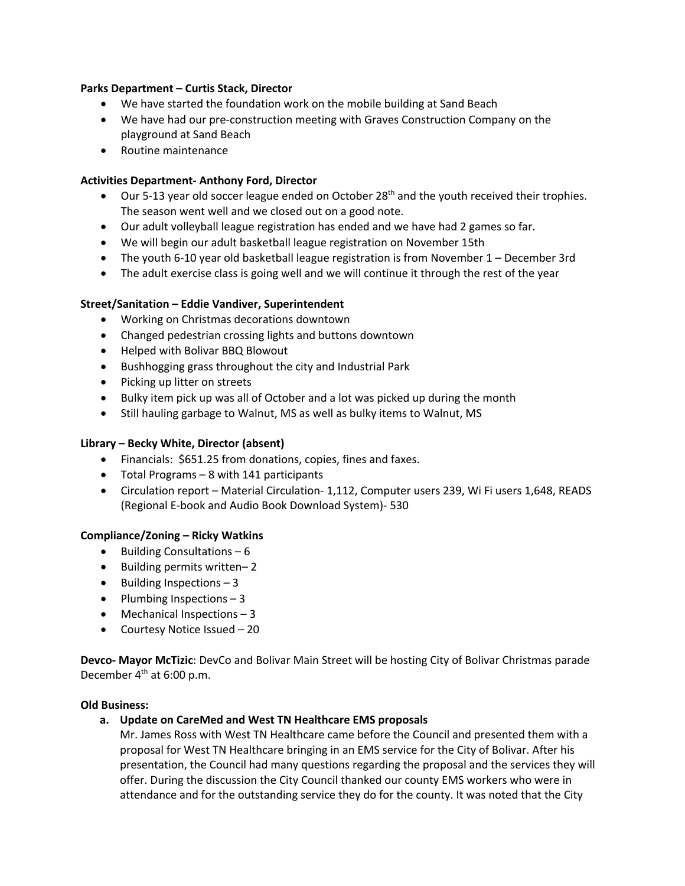### **Parks Department – Curtis Stack, Director**

- We have started the foundation work on the mobile building at Sand Beach
- We have had our pre-construction meeting with Graves Construction Company on the playground at Sand Beach
- Routine maintenance

### **Activities Department- Anthony Ford, Director**

- Our 5-13 year old soccer league ended on October  $28<sup>th</sup>$  and the youth received their trophies. The season went well and we closed out on a good note.
- Our adult volleyball league registration has ended and we have had 2 games so far.
- We will begin our adult basketball league registration on November 15th
- The youth 6-10 year old basketball league registration is from November 1 December 3rd
- The adult exercise class is going well and we will continue it through the rest of the year

### **Street/Sanitation – Eddie Vandiver, Superintendent**

- Working on Christmas decorations downtown
- Changed pedestrian crossing lights and buttons downtown
- Helped with Bolivar BBQ Blowout
- Bushhogging grass throughout the city and Industrial Park
- Picking up litter on streets
- Bulky item pick up was all of October and a lot was picked up during the month
- Still hauling garbage to Walnut, MS as well as bulky items to Walnut, MS

### **Library – Becky White, Director (absent)**

- Financials: \$651.25 from donations, copies, fines and faxes.
- Total Programs 8 with 141 participants
- Circulation report Material Circulation- 1,112, Computer users 239, Wi Fi users 1,648, READS (Regional E-book and Audio Book Download System)- 530

#### **Compliance/Zoning – Ricky Watkins**

- Building Consultations  $-6$
- Building permits written– 2
- Building Inspections 3
- Plumbing Inspections  $-3$
- Mechanical Inspections 3
- Courtesy Notice Issued 20

**Devco- Mayor McTizic**: DevCo and Bolivar Main Street will be hosting City of Bolivar Christmas parade December  $4<sup>th</sup>$  at 6:00 p.m.

#### **Old Business:**

**a. Update on CareMed and West TN Healthcare EMS proposals**

Mr. James Ross with West TN Healthcare came before the Council and presented them with a proposal for West TN Healthcare bringing in an EMS service for the City of Bolivar. After his presentation, the Council had many questions regarding the proposal and the services they will offer. During the discussion the City Council thanked our county EMS workers who were in attendance and for the outstanding service they do for the county. It was noted that the City